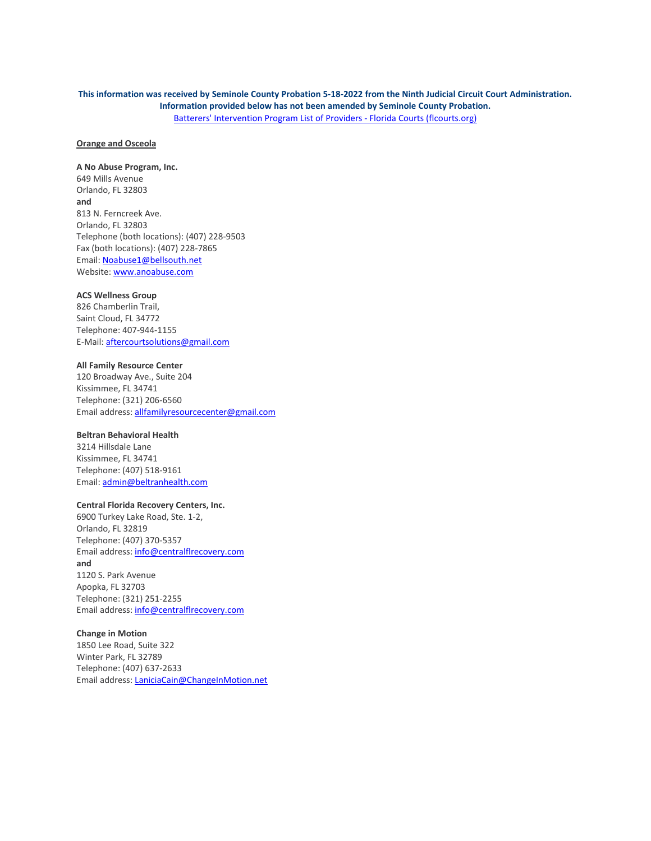# **This information was received by Seminole County Probation 5-18-2022 from the Ninth Judicial Circuit Court Administration. Information provided below has not been amended by Seminole County Probation.** [Batterers' Intervention Program List of Providers -](https://www.flcourts.org/Resources-Services/Office-of-Family-Courts/Family-Courts/Domestic-Violence/Batterers-Intervention-Program-List-of-Providers#Ninth) Florida Courts (flcourts.org)

### **Orange and Osceola**

**A No Abuse Program, Inc.** 649 Mills Avenue Orlando, FL 32803 **and** 813 N. Ferncreek Ave. Orlando, FL 32803 Telephone (both locations): (407) 228-9503 Fax (both locations): (407) 228-7865 Email: [Noabuse1@bellsouth.net](mailto:Noabuse1@bellsouth.net) Website: [www.anoabuse.com](http://www.anoabuse.com/)

### **ACS Wellness Group**

826 Chamberlin Trail, Saint Cloud, FL 34772 Telephone: 407-944-1155 E-Mail[: aftercourtsolutions@gmail.com](mailto:aftercourtsolutions@gmail.com)

#### **All Family Resource Center**

120 Broadway Ave., Suite 204 Kissimmee, FL 34741 Telephone: (321) 206-6560 Email address: [allfamilyresourcecenter@gmail.com](mailto:allfamilyresourcecenter@gmail.com) 

#### **Beltran Behavioral Health**

3214 Hillsdale Lane Kissimmee, FL 34741 Telephone: (407) 518-9161 Email: [admin@beltranhealth.com](mailto:admin@beltranhealth.com)

#### **Central Florida Recovery Centers, Inc.**

6900 Turkey Lake Road, Ste. 1-2, Orlando, FL 32819 Telephone: (407) 370-5357 Email address: [info@centralflrecovery.com](mailto:info@centralflrecovery.com) **and** 1120 S. Park Avenue Apopka, FL 32703 Telephone: (321) 251-2255 Email address: [info@centralflrecovery.com](mailto:info@centralflrecovery.com)

### **Change in Motion**

1850 Lee Road, Suite 322 Winter Park, FL 32789 Telephone: (407) 637-2633 Email address: [LaniciaCain@ChangeInMotion.net](mailto:LaniciaCain@ChangeInMotion.net)